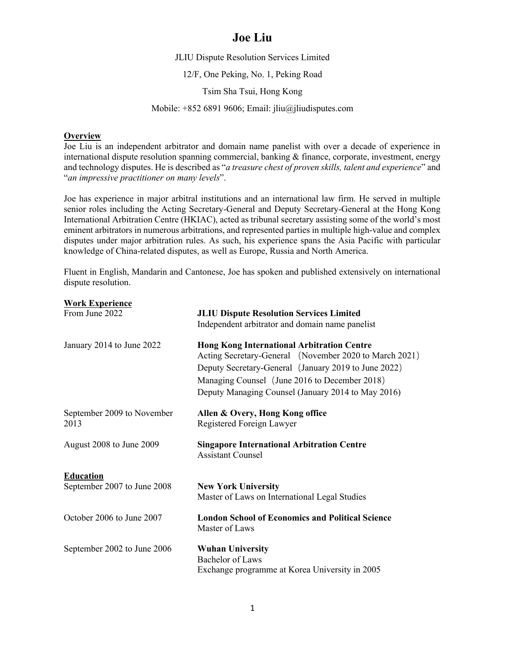# **Joe Liu**

JLIU Dispute Resolution Services Limited

12/F, One Peking, No. 1, Peking Road

Tsim Sha Tsui, Hong Kong

Mobile: +852 6891 9606; Email: jliu@jliudisputes.com

#### **Overview**

**Work Experience**

Joe Liu is an independent arbitrator and domain name panelist with over a decade of experience in international dispute resolution spanning commercial, banking & finance, corporate, investment, energy and technology disputes. He is described as "*a treasure chest of proven skills, talent and experience*" and "*an impressive practitioner on many levels*".

Joe has experience in major arbitral institutions and an international law firm. He served in multiple senior roles including the Acting Secretary-General and Deputy Secretary-General at the Hong Kong International Arbitration Centre (HKIAC), acted as tribunal secretary assisting some of the world's most eminent arbitrators in numerous arbitrations, and represented parties in multiple high-value and complex disputes under major arbitration rules. As such, his experience spans the Asia Pacific with particular knowledge of China-related disputes, as well as Europe, Russia and North America.

Fluent in English, Mandarin and Cantonese, Joe has spoken and published extensively on international dispute resolution.

| Work Experience                    |                                                                                                                                                                                                                                                                            |
|------------------------------------|----------------------------------------------------------------------------------------------------------------------------------------------------------------------------------------------------------------------------------------------------------------------------|
| From June 2022                     | <b>JLIU Dispute Resolution Services Limited</b><br>Independent arbitrator and domain name panelist                                                                                                                                                                         |
| January 2014 to June 2022          | <b>Hong Kong International Arbitration Centre</b><br>Acting Secretary-General (November 2020 to March 2021)<br>Deputy Secretary-General (January 2019 to June 2022)<br>Managing Counsel (June 2016 to December 2018)<br>Deputy Managing Counsel (January 2014 to May 2016) |
| September 2009 to November<br>2013 | Allen & Overy, Hong Kong office<br>Registered Foreign Lawyer                                                                                                                                                                                                               |
| August 2008 to June 2009           | <b>Singapore International Arbitration Centre</b><br><b>Assistant Counsel</b>                                                                                                                                                                                              |
| <b>Education</b>                   |                                                                                                                                                                                                                                                                            |
| September 2007 to June 2008        | <b>New York University</b><br>Master of Laws on International Legal Studies                                                                                                                                                                                                |
| October 2006 to June 2007          | <b>London School of Economics and Political Science</b><br>Master of Laws                                                                                                                                                                                                  |
| September 2002 to June 2006        | <b>Wuhan University</b><br><b>Bachelor</b> of Laws<br>Exchange programme at Korea University in 2005                                                                                                                                                                       |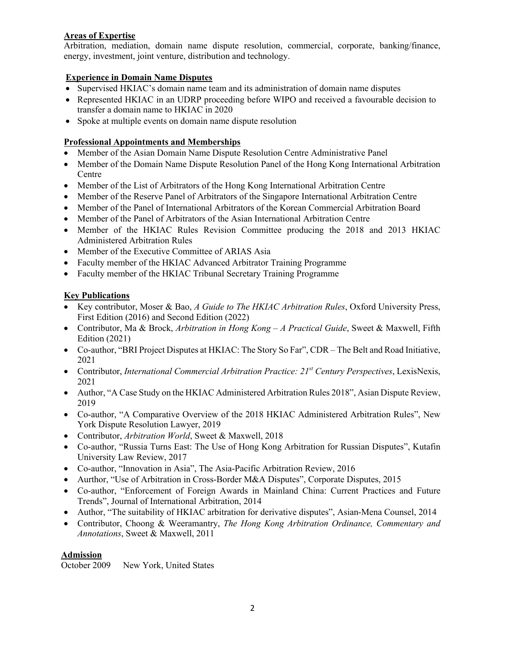## **Areas of Expertise**

Arbitration, mediation, domain name dispute resolution, commercial, corporate, banking/finance, energy, investment, joint venture, distribution and technology.

### **Experience in Domain Name Disputes**

- Supervised HKIAC's domain name team and its administration of domain name disputes
- Represented HKIAC in an UDRP proceeding before WIPO and received a favourable decision to transfer a domain name to HKIAC in 2020
- Spoke at multiple events on domain name dispute resolution

### **Professional Appointments and Memberships**

- Member of the Asian Domain Name Dispute Resolution Centre Administrative Panel
- Member of the Domain Name Dispute Resolution Panel of the Hong Kong International Arbitration **Centre**
- Member of the List of Arbitrators of the Hong Kong International Arbitration Centre
- Member of the Reserve Panel of Arbitrators of the Singapore International Arbitration Centre
- Member of the Panel of International Arbitrators of the Korean Commercial Arbitration Board
- Member of the Panel of Arbitrators of the Asian International Arbitration Centre
- Member of the HKIAC Rules Revision Committee producing the 2018 and 2013 HKIAC Administered Arbitration Rules
- Member of the Executive Committee of ARIAS Asia
- Faculty member of the HKIAC Advanced Arbitrator Training Programme
- Faculty member of the HKIAC Tribunal Secretary Training Programme

## **Key Publications**

- Key contributor, Moser & Bao, *A Guide to The HKIAC Arbitration Rules*, Oxford University Press, First Edition (2016) and Second Edition (2022)
- Contributor, Ma & Brock, *Arbitration in Hong Kong – A Practical Guide*, Sweet & Maxwell, Fifth Edition (2021)
- Co-author, "BRI Project Disputes at HKIAC: The Story So Far", CDR The Belt and Road Initiative, 2021
- Contributor, *International Commercial Arbitration Practice: 21st Century Perspectives*, LexisNexis, 2021
- Author, "A Case Study on the HKIAC Administered Arbitration Rules 2018", Asian Dispute Review, 2019
- Co-author, "A Comparative Overview of the 2018 HKIAC Administered Arbitration Rules", New York Dispute Resolution Lawyer, 2019
- Contributor, *Arbitration World*, Sweet & Maxwell, 2018
- Co-author, "Russia Turns East: The Use of Hong Kong Arbitration for Russian Disputes", Kutafin University Law Review, 2017
- Co-author, "Innovation in Asia", The Asia-Pacific Arbitration Review, 2016
- Aurthor, "Use of Arbitration in Cross-Border M&A Disputes", Corporate Disputes, 2015
- Co-author, "Enforcement of Foreign Awards in Mainland China: Current Practices and Future Trends", Journal of International Arbitration, 2014
- Author, "The suitability of HKIAC arbitration for derivative disputes", Asian-Mena Counsel, 2014
- Contributor, Choong & Weeramantry, *The Hong Kong Arbitration Ordinance, Commentary and Annotations*, Sweet & Maxwell, 2011

### **Admission**

October 2009 New York, United States